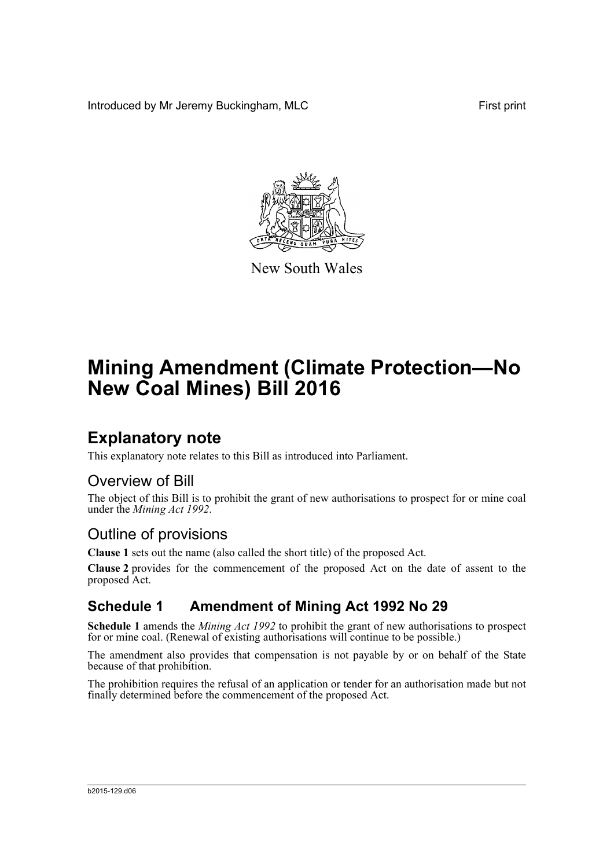Introduced by Mr Jeremy Buckingham, MLC First print



New South Wales

# **Mining Amendment (Climate Protection—No New Coal Mines) Bill 2016**

## **Explanatory note**

This explanatory note relates to this Bill as introduced into Parliament.

### Overview of Bill

The object of this Bill is to prohibit the grant of new authorisations to prospect for or mine coal under the *Mining Act 1992*.

## Outline of provisions

**Clause 1** sets out the name (also called the short title) of the proposed Act.

**Clause 2** provides for the commencement of the proposed Act on the date of assent to the proposed Act.

### **Schedule 1 Amendment of Mining Act 1992 No 29**

**Schedule 1** amends the *Mining Act 1992* to prohibit the grant of new authorisations to prospect for or mine coal. (Renewal of existing authorisations will continue to be possible.)

The amendment also provides that compensation is not payable by or on behalf of the State because of that prohibition.

The prohibition requires the refusal of an application or tender for an authorisation made but not finally determined before the commencement of the proposed Act.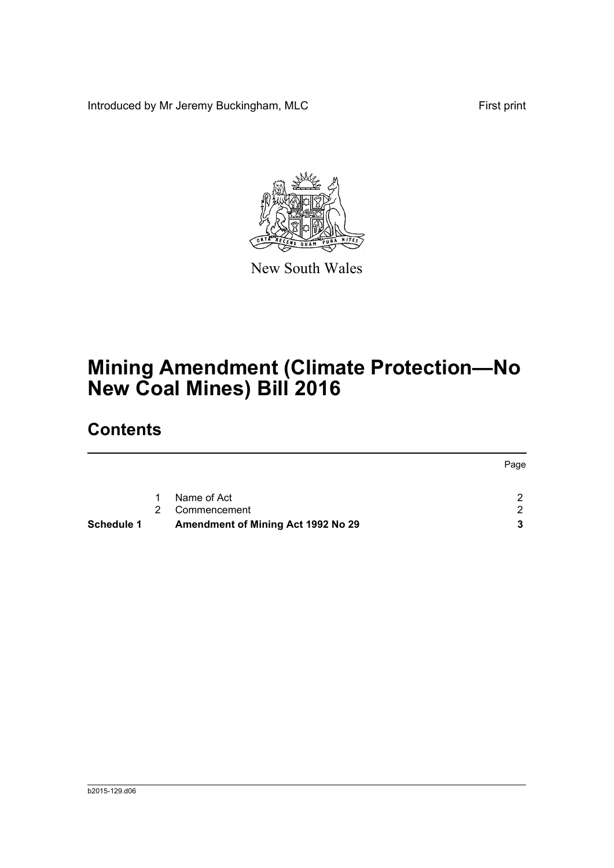Introduced by Mr Jeremy Buckingham, MLC First print



New South Wales

# **Mining Amendment (Climate Protection—No New Coal Mines) Bill 2016**

# **Contents**

|                   |    |                                    | Page |
|-------------------|----|------------------------------------|------|
|                   | 1. | Name of Act                        | - 2  |
|                   | 2  | Commencement                       | - 2  |
| <b>Schedule 1</b> |    | Amendment of Mining Act 1992 No 29 |      |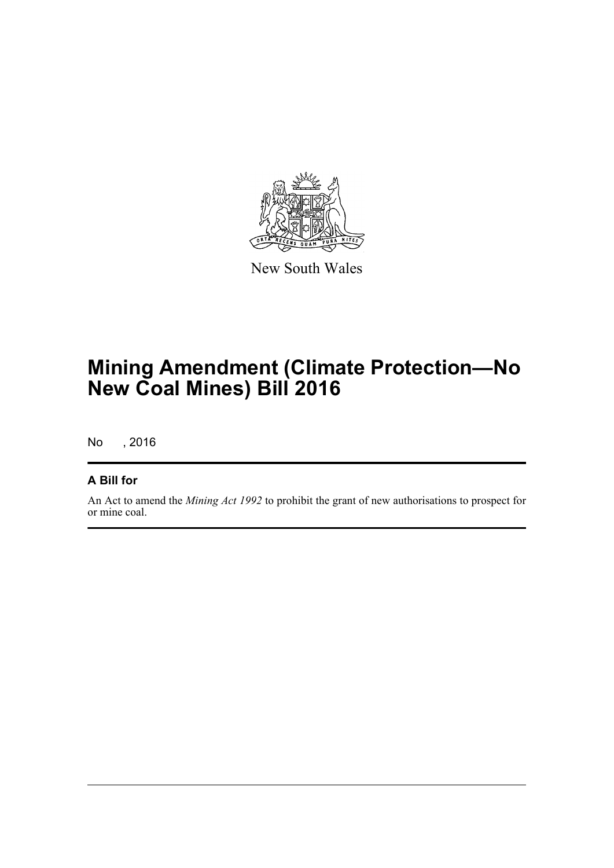

New South Wales

# **Mining Amendment (Climate Protection—No New Coal Mines) Bill 2016**

No , 2016

#### **A Bill for**

An Act to amend the *Mining Act 1992* to prohibit the grant of new authorisations to prospect for or mine coal.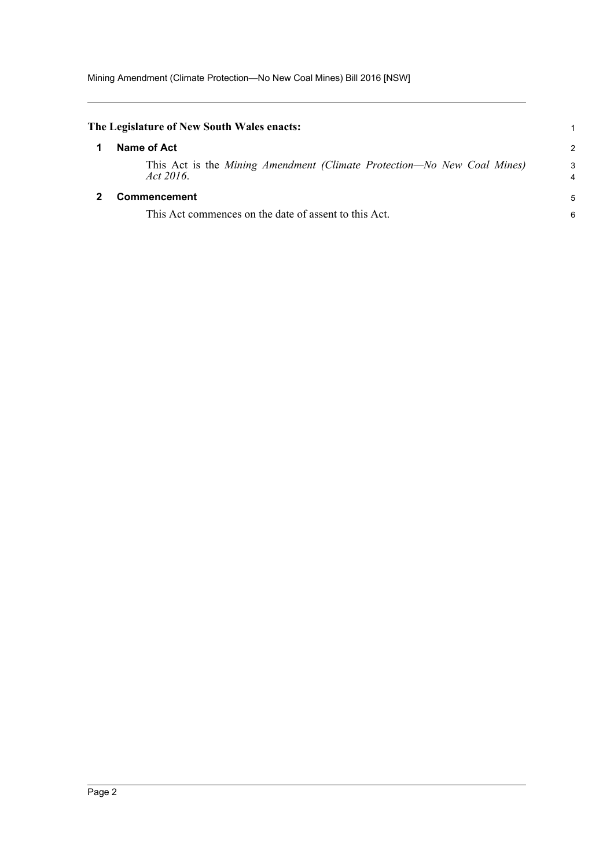<span id="page-3-1"></span><span id="page-3-0"></span>

| The Legislature of New South Wales enacts: |                                                                                         |                     |
|--------------------------------------------|-----------------------------------------------------------------------------------------|---------------------|
|                                            | Name of Act                                                                             | $\mathcal{P}$       |
|                                            | This Act is the Mining Amendment (Climate Protection—No New Coal Mines)<br>Act $2016$ . | 3<br>$\overline{4}$ |
|                                            | <b>Commencement</b>                                                                     | 5                   |
|                                            | This Act commences on the date of assent to this Act.                                   | 6                   |
|                                            |                                                                                         |                     |